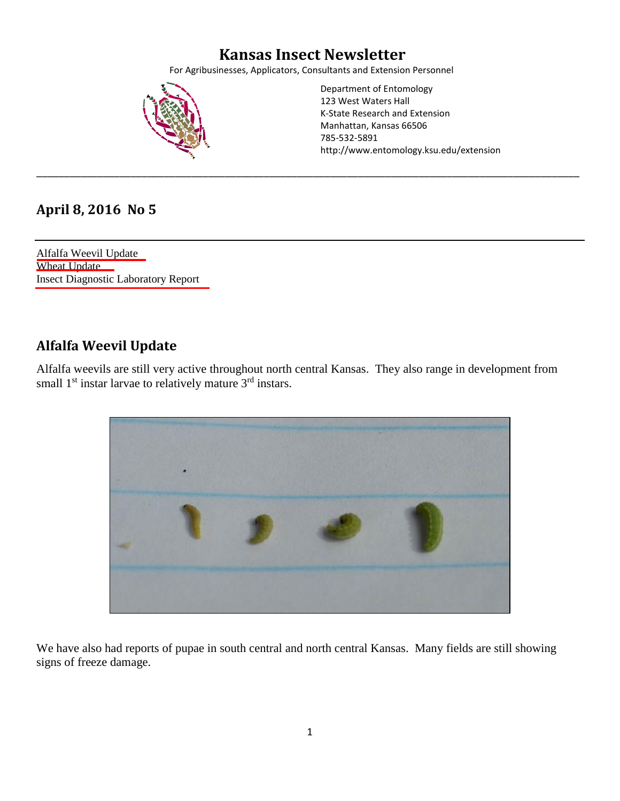# **Kansas Insect Newsletter**

For Agribusinesses, Applicators, Consultants and Extension Personnel

\_\_\_\_\_\_\_\_\_\_\_\_\_\_\_\_\_\_\_\_\_\_\_\_\_\_\_\_\_\_\_\_\_\_\_\_\_\_\_\_\_\_\_\_\_\_\_\_\_\_\_\_\_\_\_\_\_\_\_\_\_\_\_\_\_\_\_\_\_\_\_\_\_\_\_\_\_\_\_\_\_\_\_\_\_\_\_\_\_\_\_\_\_\_\_\_\_\_

<span id="page-0-0"></span>

Department of Entomology 123 West Waters Hall K-State Research and Extension Manhattan, Kansas 66506 785-532-5891 http://www.entomology.ksu.edu/extension

### **April 8, 2016 No 5**

Alfalfa Weevil Update Wheat [Update](#page-2-0) [Insect Diagnostic Laboratory Report](#page-2-0)

### **Alfalfa Weevil Update**

Alfalfa weevils are still very active throughout north central Kansas. They also range in development from small  $1<sup>st</sup>$  instar larvae to relatively mature  $3<sup>rd</sup>$  instars.



We have also had reports of pupae in south central and north central Kansas. Many fields are still showing signs of freeze damage.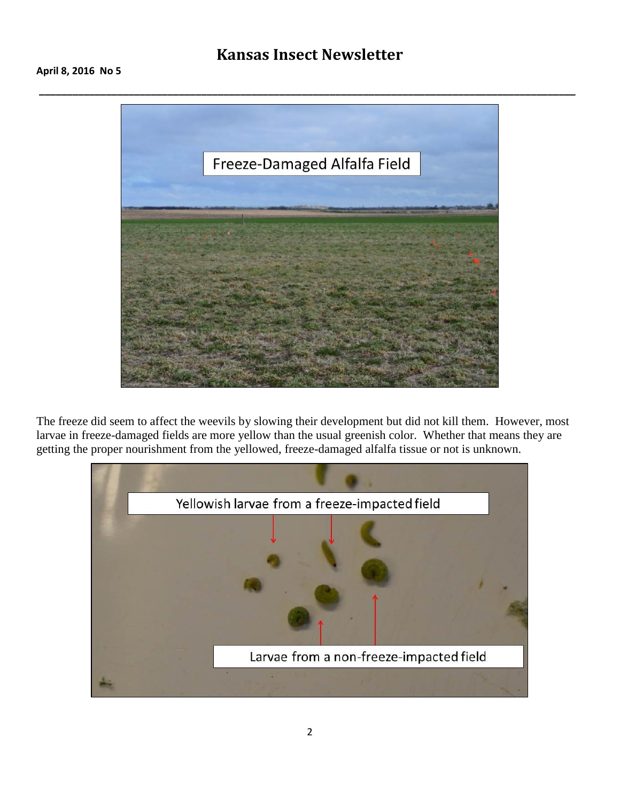## **Kansas Insect Newsletter**



The freeze did seem to affect the weevils by slowing their development but did not kill them. However, most larvae in freeze-damaged fields are more yellow than the usual greenish color. Whether that means they are getting the proper nourishment from the yellowed, freeze-damaged alfalfa tissue or not is unknown.

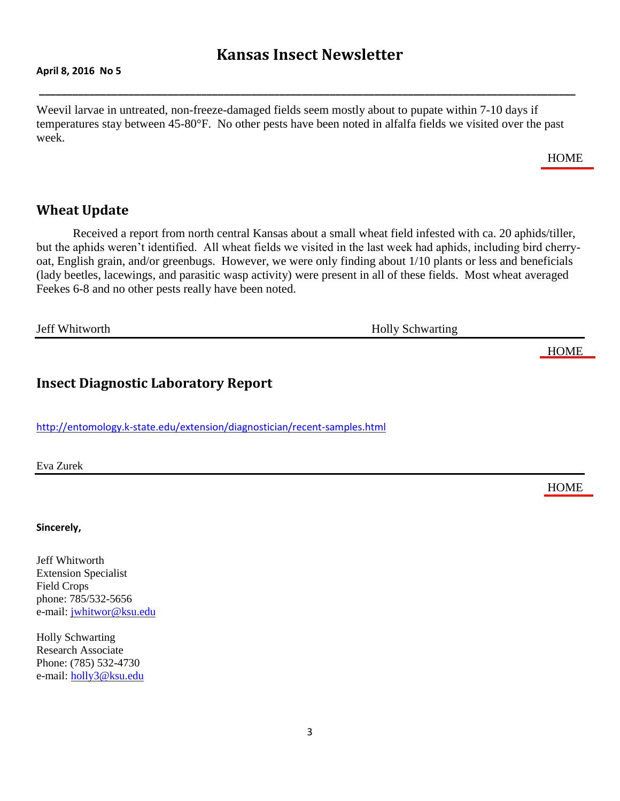## **Kansas Insect Newsletter**

**\_\_\_\_\_\_\_\_\_\_\_\_\_\_\_\_\_\_\_\_\_\_\_\_\_\_\_\_\_\_\_\_\_\_\_\_\_\_\_\_\_\_\_\_\_\_\_\_\_\_\_\_\_\_\_\_\_\_\_\_\_\_\_\_\_\_\_\_\_\_\_\_\_\_\_\_\_\_\_\_\_\_\_\_\_\_\_\_\_\_\_\_\_\_\_\_**

#### <span id="page-2-0"></span>**April 8, 2016 No 5**

Weevil larvae in untreated, non-freeze-damaged fields seem mostly about to pupate within 7-10 days if temperatures stay between 45-80°F. No other pests have been noted in alfalfa fields we visited over the past week.

**Wheat Update**

Received a report from north central Kansas about a small wheat field infested with ca. 20 aphids/tiller, but the aphids weren't identified. All wheat fields we visited in the last week had aphids, including bird cherryoat, English grain, and/or greenbugs. However, we were only finding about 1/10 plants or less and beneficials (lady beetles, lacewings, and parasitic wasp activity) were present in all of these fields. Most wheat averaged Feekes 6-8 and no other pests really have been noted.

Jeff Whitworth Holly Schwarting

#### **Insect Diagnostic Laboratory Repor[t](http://entomology.k-state.edu/extension/diagnostician/recent-samples.html)**

<http://entomology.k-state.edu/extension/diagnostician/recent-samples.html>

Eva Zurek

**Sincerely,** 

Jeff Whitworth Extension Specialist Field Crops phone: 785/532-5656 e-mail: [jwhitwor@ksu.edu](mailto:jwhitwor@ksu.edu)

Holly Schwarting Research Associate Phone: (785) 532-4730 e-mail: [holly3@ksu.edu](mailto:holly3@ksu.edu) **[HOME](#page-0-0)** 

**[HOME](#page-0-0)** 

**[HOME](#page-0-0)**